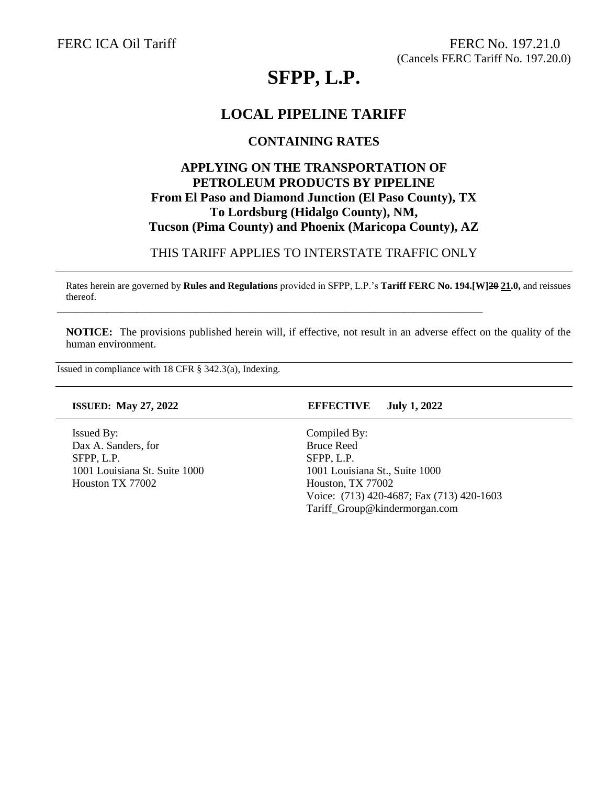# **SFPP, L.P.**

# **LOCAL PIPELINE TARIFF**

### **CONTAINING RATES**

# **APPLYING ON THE TRANSPORTATION OF PETROLEUM PRODUCTS BY PIPELINE From El Paso and Diamond Junction (El Paso County), TX To Lordsburg (Hidalgo County), NM, Tucson (Pima County) and Phoenix (Maricopa County), AZ**

### THIS TARIFF APPLIES TO INTERSTATE TRAFFIC ONLY

Rates herein are governed by **Rules and Regulations** provided in SFPP, L.P.'s **Tariff FERC No. 194.[W]20 21.0,** and reissues thereof.

\_\_\_\_\_\_\_\_\_\_\_\_\_\_\_\_\_\_\_\_\_\_\_\_\_\_\_\_\_\_\_\_\_\_\_\_\_\_\_\_\_\_\_\_\_\_\_\_\_\_\_\_\_\_\_\_\_\_\_\_\_\_\_\_\_\_\_\_\_\_\_\_\_\_\_\_\_\_\_\_\_\_\_\_\_\_

**NOTICE:** The provisions published herein will, if effective, not result in an adverse effect on the quality of the human environment.

Issued in compliance with 18 CFR § 342.3(a), Indexing.

Issued By: Dax A. Sanders, for SFPP, L.P. 1001 Louisiana St. Suite 1000 Houston TX 77002

### **ISSUED: May 27, 2022 EFFECTIVE July 1, 2022**

Compiled By: Bruce Reed SFPP, L.P. 1001 Louisiana St., Suite 1000 Houston, TX 77002 Voice: (713) 420-4687; Fax (713) 420-1603 Tariff\_Group@kindermorgan.com